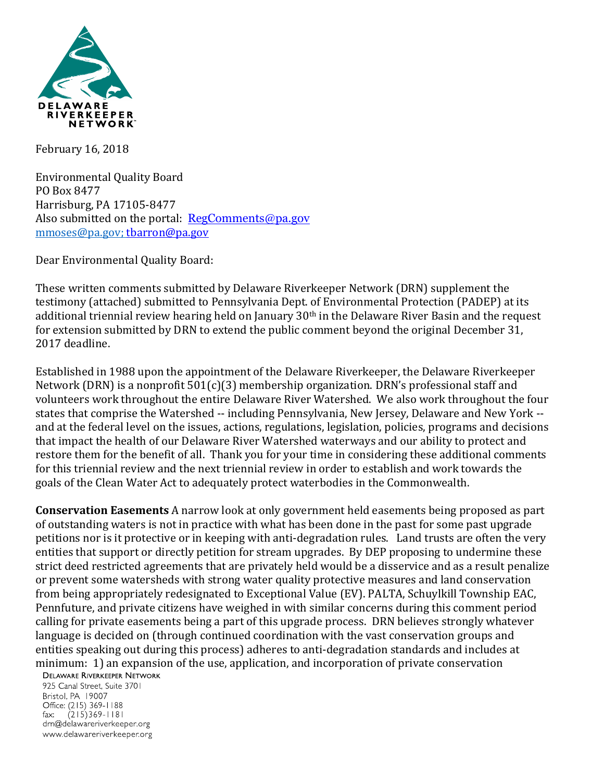

February 16, 2018

Environmental Quality Board PO Box 8477 Harrisburg, PA 17105-8477 Also submitted on the portal: [RegComments@pa.gov](mailto:RegComments@pa.gov) [mmoses@pa.gov;](mailto:mmoses@pa.gov) [tbarron@pa.gov](mailto:tbarron@pa.gov)

Dear Environmental Quality Board:

These written comments submitted by Delaware Riverkeeper Network (DRN) supplement the testimony (attached) submitted to Pennsylvania Dept. of Environmental Protection (PADEP) at its additional triennial review hearing held on January 30<sup>th</sup> in the Delaware River Basin and the request for extension submitted by DRN to extend the public comment beyond the original December 31, 2017 deadline.

Established in 1988 upon the appointment of the Delaware Riverkeeper, the Delaware Riverkeeper Network (DRN) is a nonprofit  $501(c)(3)$  membership organization. DRN's professional staff and volunteers work throughout the entire Delaware River Watershed. We also work throughout the four states that comprise the Watershed -- including Pennsylvania, New Jersey, Delaware and New York - and at the federal level on the issues, actions, regulations, legislation, policies, programs and decisions that impact the health of our Delaware River Watershed waterways and our ability to protect and restore them for the benefit of all. Thank you for your time in considering these additional comments for this triennial review and the next triennial review in order to establish and work towards the goals of the Clean Water Act to adequately protect waterbodies in the Commonwealth.

**Conservation Easements** A narrow look at only government held easements being proposed as part of outstanding waters is not in practice with what has been done in the past for some past upgrade petitions nor is it protective or in keeping with anti-degradation rules. Land trusts are often the very entities that support or directly petition for stream upgrades. By DEP proposing to undermine these strict deed restricted agreements that are privately held would be a disservice and as a result penalize or prevent some watersheds with strong water quality protective measures and land conservation from being appropriately redesignated to Exceptional Value (EV). PALTA, Schuylkill Township EAC, Pennfuture, and private citizens have weighed in with similar concerns during this comment period calling for private easements being a part of this upgrade process. DRN believes strongly whatever language is decided on (through continued coordination with the vast conservation groups and entities speaking out during this process) adheres to anti-degradation standards and includes at minimum: 1) an expansion of the use, application, and incorporation of private conservation

**DELAWARE RIVERKEEPER NETWORK** 

925 Canal Street, Suite 3701 Bristol, PA 19007 Office: (215) 369-1188 fax:  $(215)369 - 1181$ drn@delawareriverkeeper.org www.delawareriverkeeper.org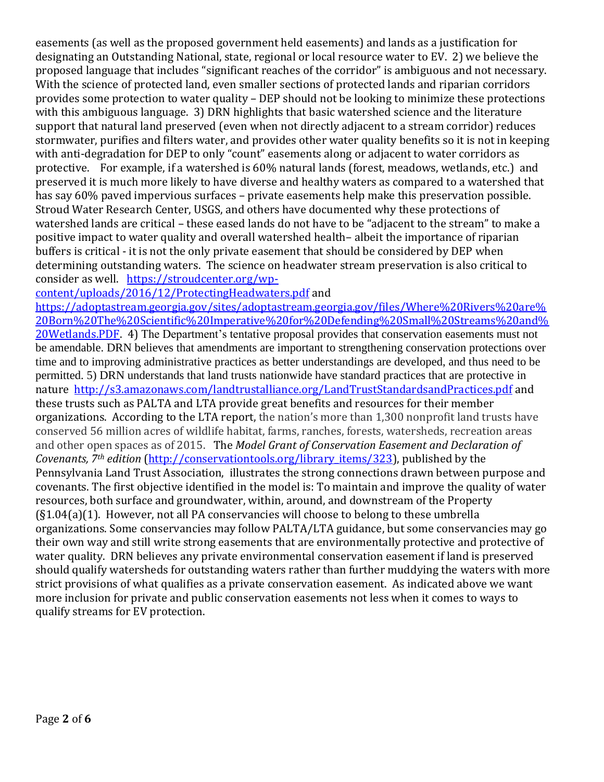easements (as well as the proposed government held easements) and lands as a justification for designating an Outstanding National, state, regional or local resource water to EV. 2) we believe the proposed language that includes "significant reaches of the corridor" is ambiguous and not necessary. With the science of protected land, even smaller sections of protected lands and riparian corridors provides some protection to water quality – DEP should not be looking to minimize these protections with this ambiguous language. 3) DRN highlights that basic watershed science and the literature support that natural land preserved (even when not directly adjacent to a stream corridor) reduces stormwater, purifies and filters water, and provides other water quality benefits so it is not in keeping with anti-degradation for DEP to only "count" easements along or adjacent to water corridors as protective. For example, if a watershed is 60% natural lands (forest, meadows, wetlands, etc.) and preserved it is much more likely to have diverse and healthy waters as compared to a watershed that has say 60% paved impervious surfaces – private easements help make this preservation possible. Stroud Water Research Center, USGS, and others have documented why these protections of watershed lands are critical – these eased lands do not have to be "adjacent to the stream" to make a positive impact to water quality and overall watershed health– albeit the importance of riparian buffers is critical - it is not the only private easement that should be considered by DEP when determining outstanding waters. The science on headwater stream preservation is also critical to consider as well. [https://stroudcenter.org/wp-](https://stroudcenter.org/wp-content/uploads/2016/12/ProtectingHeadwaters.pdf)

[content/uploads/2016/12/ProtectingHeadwaters.pdf](https://stroudcenter.org/wp-content/uploads/2016/12/ProtectingHeadwaters.pdf) and

[https://adoptastream.georgia.gov/sites/adoptastream.georgia.gov/files/Where%20Rivers%20are%](https://adoptastream.georgia.gov/sites/adoptastream.georgia.gov/files/Where%20Rivers%20are%20Born%20The%20Scientific%20Imperative%20for%20Defending%20Small%20Streams%20and%20Wetlands.PDF) [20Born%20The%20Scientific%20Imperative%20for%20Defending%20Small%20Streams%20and%](https://adoptastream.georgia.gov/sites/adoptastream.georgia.gov/files/Where%20Rivers%20are%20Born%20The%20Scientific%20Imperative%20for%20Defending%20Small%20Streams%20and%20Wetlands.PDF) [20Wetlands.PDF.](https://adoptastream.georgia.gov/sites/adoptastream.georgia.gov/files/Where%20Rivers%20are%20Born%20The%20Scientific%20Imperative%20for%20Defending%20Small%20Streams%20and%20Wetlands.PDF) 4) The Department's tentative proposal provides that conservation easements must not be amendable. DRN believes that amendments are important to strengthening conservation protections over time and to improving administrative practices as better understandings are developed, and thus need to be permitted. 5) DRN understands that land trusts nationwide have standard practices that are protective in nature <http://s3.amazonaws.com/landtrustalliance.org/LandTrustStandardsandPractices.pdf> and these trusts such as PALTA and LTA provide great benefits and resources for their member organizations. According to the LTA report, the nation's more than 1,300 nonprofit land trusts have conserved 56 million acres of wildlife habitat, farms, ranches, forests, watersheds, recreation areas and other open spaces as of 2015. The *Model Grant of Conservation Easement and Declaration of Covenants, 7th edition* [\(http://conservationtools.org/library\\_items/323\)](http://conservationtools.org/library_items/323), published by the Pennsylvania Land Trust Association, illustrates the strong connections drawn between purpose and covenants. The first objective identified in the model is: To maintain and improve the quality of water resources, both surface and groundwater, within, around, and downstream of the Property (§1.04(a)(1). However, not all PA conservancies will choose to belong to these umbrella organizations. Some conservancies may follow PALTA/LTA guidance, but some conservancies may go their own way and still write strong easements that are environmentally protective and protective of water quality. DRN believes any private environmental conservation easement if land is preserved should qualify watersheds for outstanding waters rather than further muddying the waters with more strict provisions of what qualifies as a private conservation easement. As indicated above we want more inclusion for private and public conservation easements not less when it comes to ways to qualify streams for EV protection.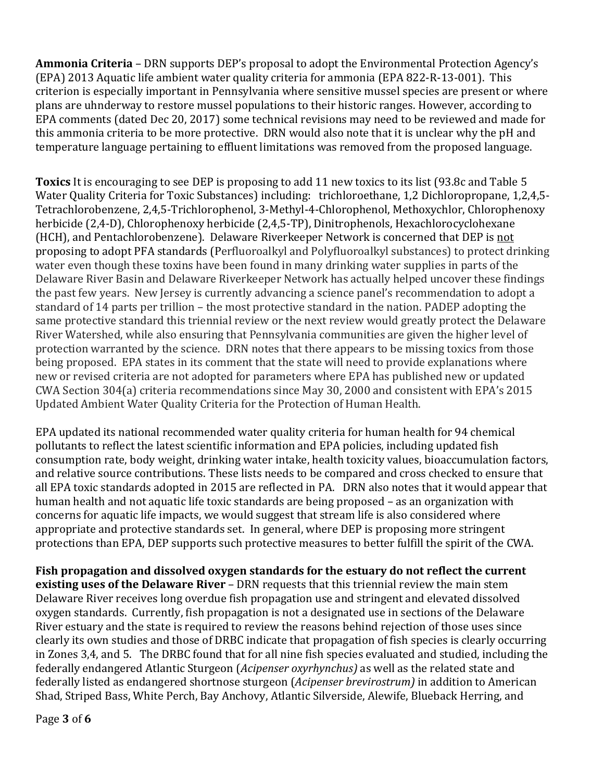**Ammonia Criteria** – DRN supports DEP's proposal to adopt the Environmental Protection Agency's (EPA) 2013 Aquatic life ambient water quality criteria for ammonia (EPA 822-R-13-001). This criterion is especially important in Pennsylvania where sensitive mussel species are present or where plans are uhnderway to restore mussel populations to their historic ranges. However, according to EPA comments (dated Dec 20, 2017) some technical revisions may need to be reviewed and made for this ammonia criteria to be more protective. DRN would also note that it is unclear why the pH and temperature language pertaining to effluent limitations was removed from the proposed language.

**Toxics** It is encouraging to see DEP is proposing to add 11 new toxics to its list (93.8c and Table 5 Water Quality Criteria for Toxic Substances) including: trichloroethane, 1,2 Dichloropropane, 1,2,4,5- Tetrachlorobenzene, 2,4,5-Trichlorophenol, 3-Methyl-4-Chlorophenol, Methoxychlor, Chlorophenoxy herbicide (2,4-D), Chlorophenoxy herbicide (2,4,5-TP), Dinitrophenols, Hexachlorocyclohexane (HCH), and Pentachlorobenzene). Delaware Riverkeeper Network is concerned that DEP is not proposing to adopt PFA standards (Perfluoroalkyl and Polyfluoroalkyl substances) to protect drinking water even though these toxins have been found in many drinking water supplies in parts of the Delaware River Basin and Delaware Riverkeeper Network has actually helped uncover these findings the past few years. New Jersey is currently advancing a science panel's recommendation to adopt a standard of 14 parts per trillion – the most protective standard in the nation. PADEP adopting the same protective standard this triennial review or the next review would greatly protect the Delaware River Watershed, while also ensuring that Pennsylvania communities are given the higher level of protection warranted by the science. DRN notes that there appears to be missing toxics from those being proposed. EPA states in its comment that the state will need to provide explanations where new or revised criteria are not adopted for parameters where EPA has published new or updated CWA Section 304(a) criteria recommendations since May 30, 2000 and consistent with EPA's 2015 Updated Ambient Water Quality Criteria for the Protection of Human Health.

EPA updated its national recommended water quality criteria for human health for 94 chemical pollutants to reflect the latest scientific information and EPA policies, including updated fish consumption rate, body weight, drinking water intake, health toxicity values, bioaccumulation factors, and relative source contributions. These lists needs to be compared and cross checked to ensure that all EPA toxic standards adopted in 2015 are reflected in PA. DRN also notes that it would appear that human health and not aquatic life toxic standards are being proposed – as an organization with concerns for aquatic life impacts, we would suggest that stream life is also considered where appropriate and protective standards set. In general, where DEP is proposing more stringent protections than EPA, DEP supports such protective measures to better fulfill the spirit of the CWA.

**Fish propagation and dissolved oxygen standards for the estuary do not reflect the current existing uses of the Delaware River** – DRN requests that this triennial review the main stem Delaware River receives long overdue fish propagation use and stringent and elevated dissolved oxygen standards. Currently, fish propagation is not a designated use in sections of the Delaware River estuary and the state is required to review the reasons behind rejection of those uses since clearly its own studies and those of DRBC indicate that propagation of fish species is clearly occurring in Zones 3,4, and 5. The DRBC found that for all nine fish species evaluated and studied, including the federally endangered Atlantic Sturgeon (*Acipenser oxyrhynchus)* as well as the related state and federally listed as endangered shortnose sturgeon (*Acipenser brevirostrum)* in addition to American Shad, Striped Bass, White Perch, Bay Anchovy, Atlantic Silverside, Alewife, Blueback Herring, and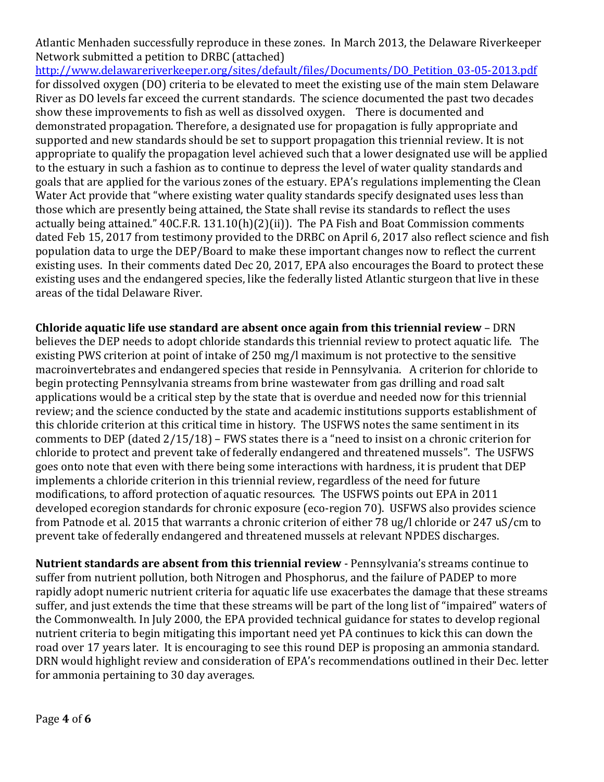Atlantic Menhaden successfully reproduce in these zones. In March 2013, the Delaware Riverkeeper Network submitted a petition to DRBC (attached)

[http://www.delawareriverkeeper.org/sites/default/files/Documents/DO\\_Petition\\_03-05-2013.pdf](http://www.delawareriverkeeper.org/sites/default/files/Documents/DO_Petition_03-05-2013.pdf) for dissolved oxygen (DO) criteria to be elevated to meet the existing use of the main stem Delaware River as DO levels far exceed the current standards. The science documented the past two decades show these improvements to fish as well as dissolved oxygen. There is documented and demonstrated propagation. Therefore, a designated use for propagation is fully appropriate and supported and new standards should be set to support propagation this triennial review. It is not appropriate to qualify the propagation level achieved such that a lower designated use will be applied to the estuary in such a fashion as to continue to depress the level of water quality standards and goals that are applied for the various zones of the estuary. EPA's regulations implementing the Clean Water Act provide that "where existing water quality standards specify designated uses less than those which are presently being attained, the State shall revise its standards to reflect the uses actually being attained." 40C.F.R. 131.10(h)(2)(ii)). The PA Fish and Boat Commission comments dated Feb 15, 2017 from testimony provided to the DRBC on April 6, 2017 also reflect science and fish population data to urge the DEP/Board to make these important changes now to reflect the current existing uses. In their comments dated Dec 20, 2017, EPA also encourages the Board to protect these existing uses and the endangered species, like the federally listed Atlantic sturgeon that live in these areas of the tidal Delaware River.

**Chloride aquatic life use standard are absent once again from this triennial review** – DRN believes the DEP needs to adopt chloride standards this triennial review to protect aquatic life. The existing PWS criterion at point of intake of 250 mg/l maximum is not protective to the sensitive macroinvertebrates and endangered species that reside in Pennsylvania. A criterion for chloride to begin protecting Pennsylvania streams from brine wastewater from gas drilling and road salt applications would be a critical step by the state that is overdue and needed now for this triennial review; and the science conducted by the state and academic institutions supports establishment of this chloride criterion at this critical time in history. The USFWS notes the same sentiment in its comments to DEP (dated 2/15/18) – FWS states there is a "need to insist on a chronic criterion for chloride to protect and prevent take of federally endangered and threatened mussels". The USFWS goes onto note that even with there being some interactions with hardness, it is prudent that DEP implements a chloride criterion in this triennial review, regardless of the need for future modifications, to afford protection of aquatic resources. The USFWS points out EPA in 2011 developed ecoregion standards for chronic exposure (eco-region 70). USFWS also provides science from Patnode et al. 2015 that warrants a chronic criterion of either 78 ug/l chloride or 247 uS/cm to prevent take of federally endangered and threatened mussels at relevant NPDES discharges.

**Nutrient standards are absent from this triennial review** - Pennsylvania's streams continue to suffer from nutrient pollution, both Nitrogen and Phosphorus, and the failure of PADEP to more rapidly adopt numeric nutrient criteria for aquatic life use exacerbates the damage that these streams suffer, and just extends the time that these streams will be part of the long list of "impaired" waters of the Commonwealth. In July 2000, the EPA provided technical guidance for states to develop regional nutrient criteria to begin mitigating this important need yet PA continues to kick this can down the road over 17 years later. It is encouraging to see this round DEP is proposing an ammonia standard. DRN would highlight review and consideration of EPA's recommendations outlined in their Dec. letter for ammonia pertaining to 30 day averages.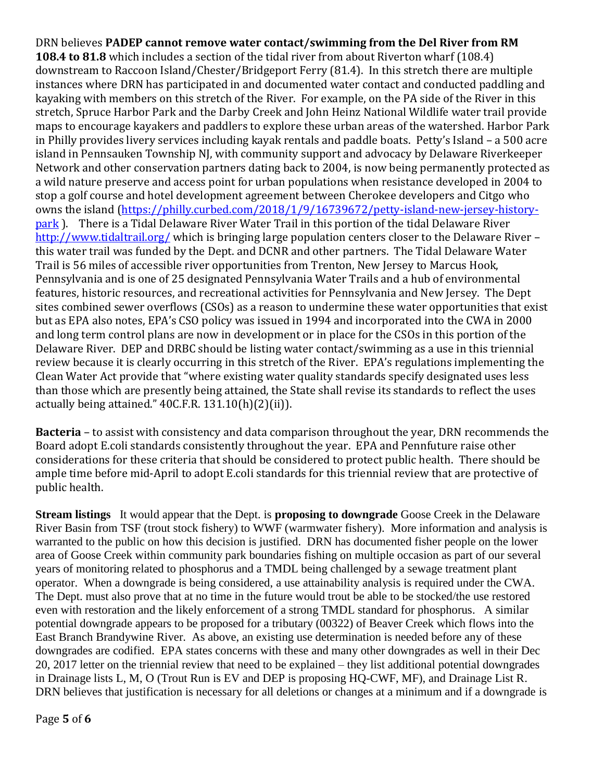DRN believes **PADEP cannot remove water contact/swimming from the Del River from RM 108.4 to 81.8** which includes a section of the tidal river from about Riverton wharf (108.4) downstream to Raccoon Island/Chester/Bridgeport Ferry (81.4). In this stretch there are multiple instances where DRN has participated in and documented water contact and conducted paddling and kayaking with members on this stretch of the River. For example, on the PA side of the River in this stretch, Spruce Harbor Park and the Darby Creek and John Heinz National Wildlife water trail provide maps to encourage kayakers and paddlers to explore these urban areas of the watershed. Harbor Park in Philly provides livery services including kayak rentals and paddle boats. Petty's Island – a 500 acre island in Pennsauken Township NJ, with community support and advocacy by Delaware Riverkeeper Network and other conservation partners dating back to 2004, is now being permanently protected as a wild nature preserve and access point for urban populations when resistance developed in 2004 to stop a golf course and hotel development agreement between Cherokee developers and Citgo who owns the island [\(https://philly.curbed.com/2018/1/9/16739672/petty-island-new-jersey-history](https://philly.curbed.com/2018/1/9/16739672/petty-island-new-jersey-history-park)[park](https://philly.curbed.com/2018/1/9/16739672/petty-island-new-jersey-history-park) ). There is a Tidal Delaware River Water Trail in this portion of the tidal Delaware River <http://www.tidaltrail.org/> which is bringing large population centers closer to the Delaware River – this water trail was funded by the Dept. and DCNR and other partners. The Tidal Delaware Water Trail is 56 miles of accessible river opportunities from Trenton, New Jersey to Marcus Hook, Pennsylvania and is one of 25 designated Pennsylvania Water Trails and a hub of environmental features, historic resources, and recreational activities for Pennsylvania and New Jersey. The Dept sites combined sewer overflows (CSOs) as a reason to undermine these water opportunities that exist but as EPA also notes, EPA's CSO policy was issued in 1994 and incorporated into the CWA in 2000 and long term control plans are now in development or in place for the CSOs in this portion of the Delaware River. DEP and DRBC should be listing water contact/swimming as a use in this triennial review because it is clearly occurring in this stretch of the River. EPA's regulations implementing the Clean Water Act provide that "where existing water quality standards specify designated uses less than those which are presently being attained, the State shall revise its standards to reflect the uses actually being attained."  $40C.F.R. 131.10(h)(2)(ii)$ .

**Bacteria** – to assist with consistency and data comparison throughout the year, DRN recommends the Board adopt E.coli standards consistently throughout the year. EPA and Pennfuture raise other considerations for these criteria that should be considered to protect public health. There should be ample time before mid-April to adopt E.coli standards for this triennial review that are protective of public health.

**Stream listings** It would appear that the Dept. is **proposing to downgrade** Goose Creek in the Delaware River Basin from TSF (trout stock fishery) to WWF (warmwater fishery). More information and analysis is warranted to the public on how this decision is justified. DRN has documented fisher people on the lower area of Goose Creek within community park boundaries fishing on multiple occasion as part of our several years of monitoring related to phosphorus and a TMDL being challenged by a sewage treatment plant operator. When a downgrade is being considered, a use attainability analysis is required under the CWA. The Dept. must also prove that at no time in the future would trout be able to be stocked/the use restored even with restoration and the likely enforcement of a strong TMDL standard for phosphorus. A similar potential downgrade appears to be proposed for a tributary (00322) of Beaver Creek which flows into the East Branch Brandywine River. As above, an existing use determination is needed before any of these downgrades are codified. EPA states concerns with these and many other downgrades as well in their Dec 20, 2017 letter on the triennial review that need to be explained – they list additional potential downgrades in Drainage lists L, M, O (Trout Run is EV and DEP is proposing HQ-CWF, MF), and Drainage List R. DRN believes that justification is necessary for all deletions or changes at a minimum and if a downgrade is